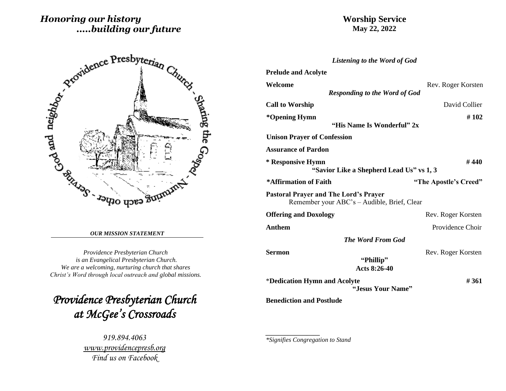# *Honoring our history .....building our future*

## **Worship Service May 22, 2022**



#### *OUR MISSION STATEMENT*

*Providence Presbyterian Church is an Evangelical Presbyterian Church. We are a welcoming, nurturing church that shares Christ's Word through local outreach and global missions.*

*Providence Presbyterian Church at McGee's Crossroads* 

> *919.894.4063 [www.providencepresb.org](http://www.providencepresb.org/) Find us on Facebook*

| <b>Listening to the Word of God</b>                                                         |                       |
|---------------------------------------------------------------------------------------------|-----------------------|
| <b>Prelude and Acolyte</b>                                                                  |                       |
| Welcome<br><b>Responding to the Word of God</b>                                             | Rev. Roger Korsten    |
| <b>Call to Worship</b>                                                                      | David Collier         |
| *Opening Hymn<br>"His Name Is Wonderful" 2x                                                 | #102                  |
| <b>Unison Prayer of Confession</b>                                                          |                       |
| <b>Assurance of Pardon</b>                                                                  |                       |
| * Responsive Hymn<br>"Savior Like a Shepherd Lead Us" vs 1, 3                               | #440                  |
| *Affirmation of Faith                                                                       | "The Apostle's Creed" |
|                                                                                             |                       |
| <b>Pastoral Prayer and The Lord's Prayer</b><br>Remember your ABC's – Audible, Brief, Clear |                       |
| <b>Offering and Doxology</b>                                                                | Rev. Roger Korsten    |
| <b>Anthem</b>                                                                               | Providence Choir      |
| <b>The Word From God</b>                                                                    |                       |
| <b>Sermon</b><br>"Phillip"<br>Acts 8:26-40                                                  | Rev. Roger Korsten    |
| *Dedication Hymn and Acolyte                                                                | #361                  |
| "Jesus Your Name"                                                                           |                       |
| <b>Benediction and Postlude</b>                                                             |                       |

*\*Signifies Congregation to Stand*

*\_\_\_\_\_\_\_\_\_\_\_\_\_\_\_\_\_*